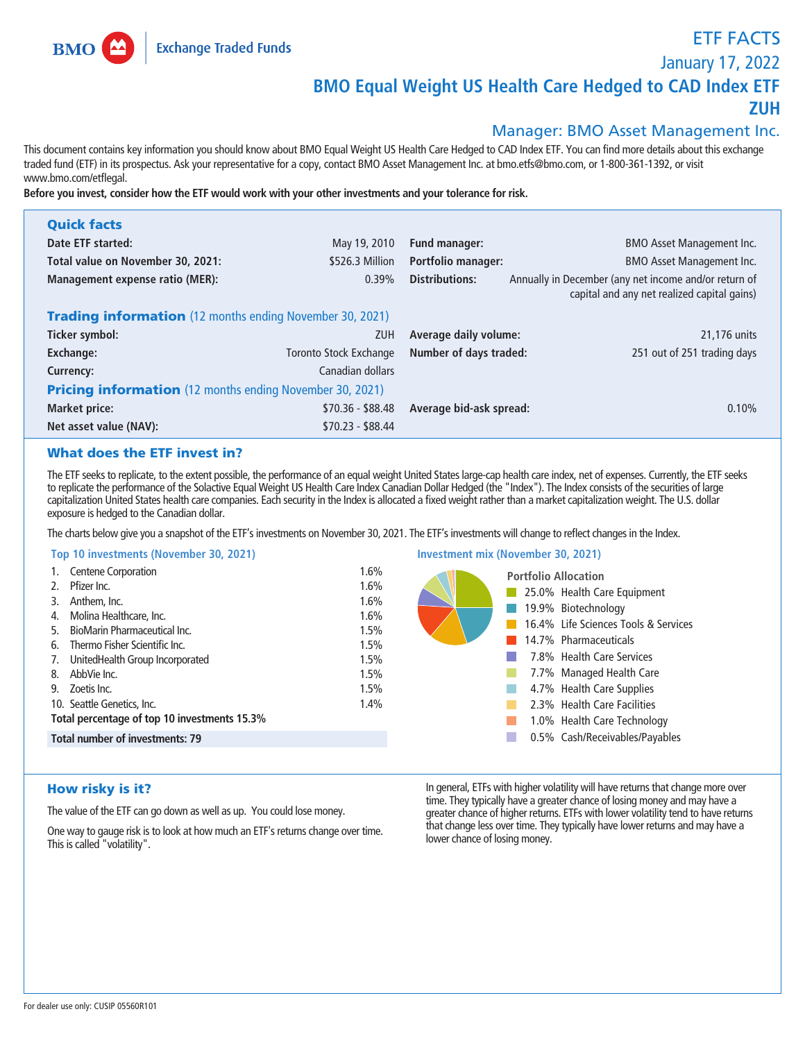

**BMO** 

**ETF FACTS**

**January 17, 2022**

# **BMO Equal Weight US Health Care Hedged to CAD Index ETF**

**ZUH**

# **Manager: BMO Asset Management Inc.**

**This document contains key information you should know about BMO Equal Weight US Health Care Hedged to CAD Index ETF. You can find more details about this exchange traded fund (ETF) in its prospectus. Ask your representative for a copy, contact BMO Asset Management Inc. at bmo.etfs@bmo.com, or 1-800-361-1392, or visit www.bmo.com/etflegal.**

**Before you invest, consider how the ETF would work with your other investments and your tolerance for risk.**

| <b>Quick facts</b>                                              |                               |                                       |                                                                                                      |  |
|-----------------------------------------------------------------|-------------------------------|---------------------------------------|------------------------------------------------------------------------------------------------------|--|
| Date ETF started:                                               | May 19, 2010                  | Fund manager:                         | <b>BMO Asset Management Inc.</b>                                                                     |  |
| Total value on November 30, 2021:                               | \$526.3 Million               | <b>Portfolio manager:</b>             | <b>BMO Asset Management Inc.</b>                                                                     |  |
| <b>Management expense ratio (MER):</b>                          | 0.39%                         | Distributions:                        | Annually in December (any net income and/or return of<br>capital and any net realized capital gains) |  |
| <b>Trading information</b> (12 months ending November 30, 2021) |                               |                                       |                                                                                                      |  |
| Ticker symbol:                                                  | <b>ZUH</b>                    | Average daily volume:<br>21,176 units |                                                                                                      |  |
| Exchange:                                                       | <b>Toronto Stock Exchange</b> | <b>Number of days traded:</b>         | 251 out of 251 trading days                                                                          |  |
| Currency:                                                       | Canadian dollars              |                                       |                                                                                                      |  |
| <b>Pricing information</b> (12 months ending November 30, 2021) |                               |                                       |                                                                                                      |  |
| <b>Market price:</b>                                            | $$70.36 - $88.48$             | Average bid-ask spread:               | 0.10%                                                                                                |  |
| Net asset value (NAV):                                          | $$70.23 - $88.44$             |                                       |                                                                                                      |  |

# What does the ETF invest in?

**The ETF seeks to replicate, to the extent possible, the performance of an equal weight United States large-cap health care index, net of expenses. Currently, the ETF seeks to replicate the performance of the Solactive Equal Weight US Health Care Index Canadian Dollar Hedged (the "Index"). The Index consists of the securities of large capitalization United States health care companies. Each security in the Index is allocated a fixed weight rather than a market capitalization weight. The U.S. dollar exposure is hedged to the Canadian dollar.**

**Investment mix (November 30, 2021)**

**The charts below give you a snapshot of the ETF's investments on November 30, 2021. The ETF's investments will change to reflect changes in the Index.**

## **Top 10 investments (November 30, 2021)**

| $1.98$ TV $1.11$ . The continues in the follow of starts $1.7$ |      |                                      |
|----------------------------------------------------------------|------|--------------------------------------|
| 1. Centene Corporation                                         | 1.6% | <b>Portfolio Allocation</b>          |
| Pfizer Inc.                                                    | 1.6% | 25.0% Health Care Equipment          |
| Anthem, Inc.<br>3.                                             | 1.6% | 19.9% Biotechnology                  |
| Molina Healthcare, Inc.<br>4.                                  | 1.6% |                                      |
| BioMarin Pharmaceutical Inc.<br>5.                             | 1.5% | 16.4% Life Sciences Tools & Services |
| Thermo Fisher Scientific Inc.<br>6.                            | 1.5% | 14.7% Pharmaceuticals                |
| UnitedHealth Group Incorporated<br>7.                          | 1.5% | 7.8% Health Care Services            |
| AbbVie Inc.<br>8.                                              | 1.5% | 7.7% Managed Health Care             |
| Zoetis Inc.<br>9.                                              | 1.5% | 4.7% Health Care Supplies            |
| 10. Seattle Genetics, Inc.                                     | 1.4% | 2.3% Health Care Facilities          |
| Total percentage of top 10 investments 15.3%                   |      | 1.0% Health Care Technology          |
| <b>Total number of investments: 79</b>                         |      | 0.5% Cash/Receivables/Payables<br>L. |
|                                                                |      |                                      |

# How risky is it?

**The value of the ETF can go down as well as up. You could lose money.**

**One way to gauge risk is to look at how much an ETF's returns change over time. This is called "volatility".**

**In general, ETFs with higher volatility will have returns that change more over time. They typically have a greater chance of losing money and may have a greater chance of higher returns. ETFs with lower volatility tend to have returns that change less over time. They typically have lower returns and may have a lower chance of losing money.**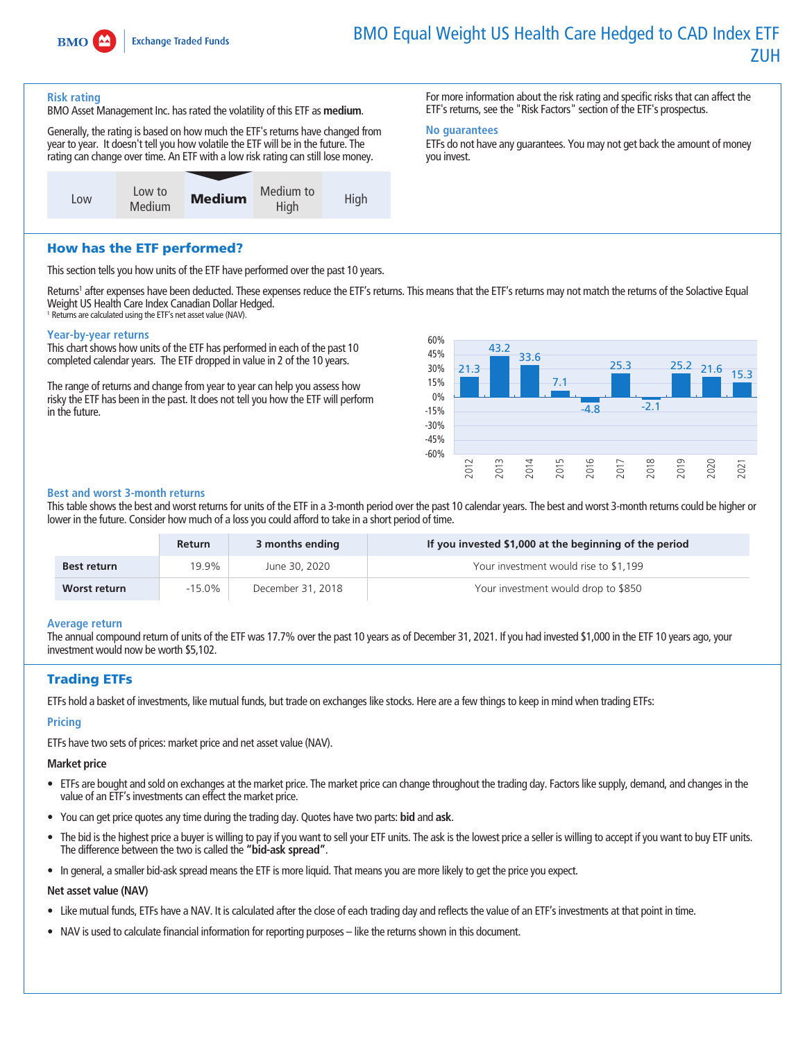

**For more information about the risk rating and specific risks that can affect the ETF's returns, see the "Risk Factors" section of the ETF's prospectus.**

**ETFs do not have any guarantees. You may not get back the amount of money** 

#### **Risk rating**

**BMO Asset Management Inc. has rated the volatility of this ETF as medium.**

**Generally, the rating is based on how much the ETF's returns have changed from year to year. It doesn't tell you how volatile the ETF will be in the future. The rating can change over time. An ETF with a low risk rating can still lose money.**



How has the ETF performed?

**This section tells you how units of the ETF have performed over the past 10 years.**

**Returns<sup>1</sup> after expenses have been deducted. These expenses reduce the ETF's returns. This means that the ETF's returns may not match the returns of the Solactive Equal Weight US Health Care Index Canadian Dollar Hedged. <sup>1</sup> Returns are calculated using the ETF's net asset value (NAV).**

**No guarantees**

**you invest.**

# **Year-by-year returns**

**This chart shows how units of the ETF has performed in each of the past 10 completed calendar years. The ETF dropped in value in 2 of the 10 years.**

**The range of returns and change from year to year can help you assess how risky the ETF has been in the past. It does not tell you how the ETF will perform in the future.**



#### **Best and worst 3-month returns**

**This table shows the best and worst returns for units of the ETF in a 3-month period over the past 10 calendar years. The best and worst 3-month returns could be higher or lower in the future. Consider how much of a loss you could afford to take in a short period of time.**

|                    | <b>Return</b> | 3 months ending   | If you invested \$1,000 at the beginning of the period |
|--------------------|---------------|-------------------|--------------------------------------------------------|
| <b>Best return</b> | 19.9%         | June 30, 2020     | Your investment would rise to \$1,199                  |
| Worst return       | $-15.0\%$     | December 31, 2018 | Your investment would drop to \$850                    |

#### **Average return**

**The annual compound return of units of the ETF was 17.7% over the past 10 years as of December 31, 2021. If you had invested \$1,000 in the ETF 10 years ago, your investment would now be worth \$5,102.**

# Trading ETFs

**ETFs hold a basket of investments, like mutual funds, but trade on exchanges like stocks. Here are a few things to keep in mind when trading ETFs:**

# **Pricing**

**ETFs have two sets of prices: market price and net asset value (NAV).**

#### **Market price**

- **• ETFs are bought and sold on exchanges at the market price. The market price can change throughout the trading day. Factors like supply, demand, and changes in the value of an ETF's investments can effect the market price.**
- **• You can get price quotes any time during the trading day. Quotes have two parts: bid and ask.**
- **• The bid is the highest price a buyer is willing to pay if you want to sell your ETF units. The ask is the lowest price a seller is willing to accept if you want to buy ETF units. The difference between the two is called the "bid-ask spread".**
- **• In general, a smaller bid-ask spread means the ETF is more liquid. That means you are more likely to get the price you expect.**

#### **Net asset value (NAV)**

- **• Like mutual funds, ETFs have a NAV. It is calculated after the close of each trading day and reflects the value of an ETF's investments at that point in time.**
- **• NAV is used to calculate financial information for reporting purposes like the returns shown in this document.**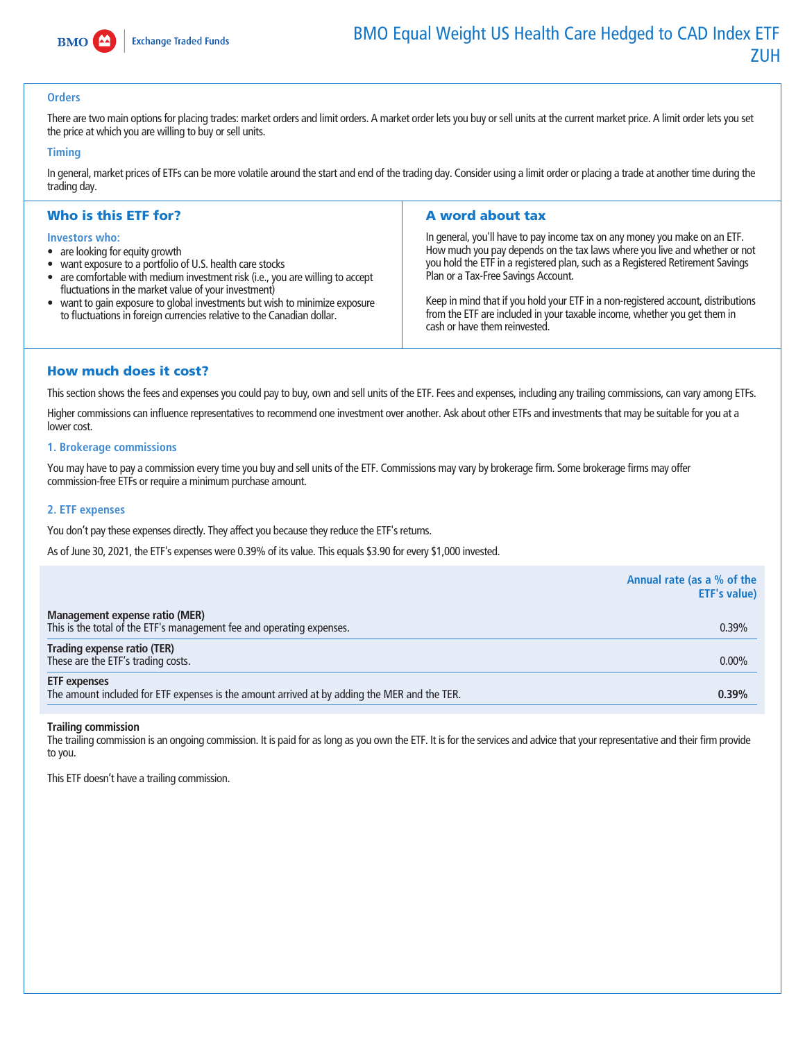

## **Orders**

There are two main options for placing trades: market orders and limit orders. A market order lets you buy or sell units at the current market price. A limit order lets you set **the price at which you are willing to buy or sell units.**

#### **Timing**

**In general, market prices of ETFs can be more volatile around the start and end of the trading day. Consider using a limit order or placing a trade at another time during the trading day.**

## Who is this ETF for?

#### **Investors who:**

- **• are looking for equity growth**
- **• want exposure to a portfolio of U.S. health care stocks**
- **• are comfortable with medium investment risk (i.e., you are willing to accept fluctuations in the market value of your investment)**
- **• want to gain exposure to global investments but wish to minimize exposure to fluctuations in foreign currencies relative to the Canadian dollar.**

## A word about tax

**In general, you'll have to pay income tax on any money you make on an ETF. How much you pay depends on the tax laws where you live and whether or not you hold the ETF in a registered plan, such as a Registered Retirement Savings Plan or a Tax-Free Savings Account.**

**Keep in mind that if you hold your ETF in a non-registered account, distributions from the ETF are included in your taxable income, whether you get them in cash or have them reinvested.**

### How much does it cost?

**This section shows the fees and expenses you could pay to buy, own and sell units of the ETF. Fees and expenses, including any trailing commissions, can vary among ETFs.**

**Higher commissions can influence representatives to recommend one investment over another. Ask about other ETFs and investments that may be suitable for you at a**  lower cost.

#### **1. Brokerage commissions**

**You may have to pay a commission every time you buy and sell units of the ETF. Commissions may vary by brokerage firm. Some brokerage firms may offer commission-free ETFs or require a minimum purchase amount.**

#### **2. ETF expenses**

**You don't pay these expenses directly. They affect you because they reduce the ETF's returns.**

**As of June 30, 2021, the ETF's expenses were 0.39% of its value. This equals \$3.90 for every \$1,000 invested.**

|                                                                                                                     | Annual rate (as a % of the<br><b>ETF's value)</b> |
|---------------------------------------------------------------------------------------------------------------------|---------------------------------------------------|
| Management expense ratio (MER)<br>This is the total of the ETF's management fee and operating expenses.             | 0.39%                                             |
| Trading expense ratio (TER)<br>These are the ETF's trading costs.                                                   | $0.00\%$                                          |
| <b>ETF</b> expenses<br>The amount included for ETF expenses is the amount arrived at by adding the MER and the TER. | 0.39%                                             |

#### **Trailing commission**

**The trailing commission is an ongoing commission. It is paid for as long as you own the ETF. It is for the services and advice that your representative and their firm provide to you.**

**This ETF doesn't have a trailing commission.**